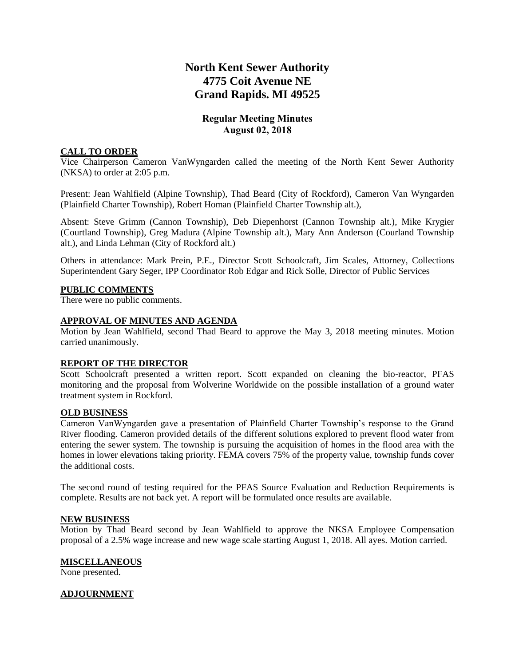# **North Kent Sewer Authority 4775 Coit Avenue NE Grand Rapids. MI 49525**

## **Regular Meeting Minutes August 02, 2018**

## **CALL TO ORDER**

Vice Chairperson Cameron VanWyngarden called the meeting of the North Kent Sewer Authority (NKSA) to order at 2:05 p.m.

Present: Jean Wahlfield (Alpine Township), Thad Beard (City of Rockford), Cameron Van Wyngarden (Plainfield Charter Township), Robert Homan (Plainfield Charter Township alt.),

Absent: Steve Grimm (Cannon Township), Deb Diepenhorst (Cannon Township alt.), Mike Krygier (Courtland Township), Greg Madura (Alpine Township alt.), Mary Ann Anderson (Courland Township alt.), and Linda Lehman (City of Rockford alt.)

Others in attendance: Mark Prein, P.E., Director Scott Schoolcraft, Jim Scales, Attorney, Collections Superintendent Gary Seger, IPP Coordinator Rob Edgar and Rick Solle, Director of Public Services

## **PUBLIC COMMENTS**

There were no public comments.

### **APPROVAL OF MINUTES AND AGENDA**

Motion by Jean Wahlfield, second Thad Beard to approve the May 3, 2018 meeting minutes. Motion carried unanimously.

## **REPORT OF THE DIRECTOR**

Scott Schoolcraft presented a written report. Scott expanded on cleaning the bio-reactor, PFAS monitoring and the proposal from Wolverine Worldwide on the possible installation of a ground water treatment system in Rockford.

#### **OLD BUSINESS**

Cameron VanWyngarden gave a presentation of Plainfield Charter Township's response to the Grand River flooding. Cameron provided details of the different solutions explored to prevent flood water from entering the sewer system. The township is pursuing the acquisition of homes in the flood area with the homes in lower elevations taking priority. FEMA covers 75% of the property value, township funds cover the additional costs.

The second round of testing required for the PFAS Source Evaluation and Reduction Requirements is complete. Results are not back yet. A report will be formulated once results are available.

#### **NEW BUSINESS**

Motion by Thad Beard second by Jean Wahlfield to approve the NKSA Employee Compensation proposal of a 2.5% wage increase and new wage scale starting August 1, 2018. All ayes. Motion carried.

#### **MISCELLANEOUS**

None presented.

## **ADJOURNMENT**